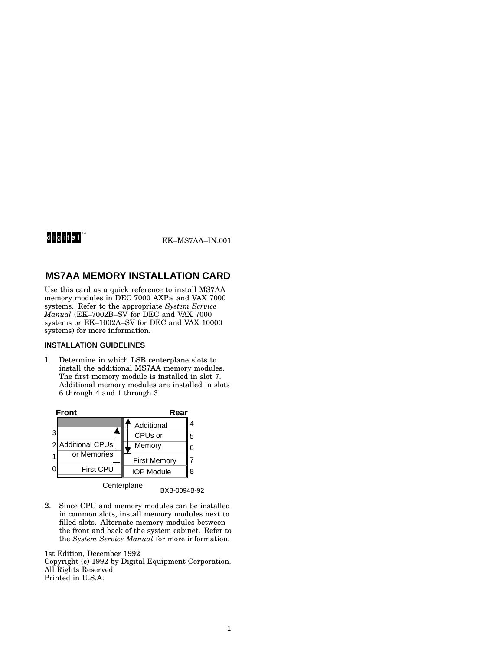# digital™

EK–MS7AA–IN.001

# **MS7AA MEMORY INSTALLATION CARD**

Use this card as a quick reference to install MS7AA memory modules in DEC 7000 AXP™ and VAX 7000 systems. Refer to the appropriate *System Service Manual* (EK–7002B–SV for DEC and VAX 7000 systems or EK–1002A–SV for DEC and VAX 10000 systems) for more information.

## **INSTALLATION GUIDELINES**

1. Determine in which LSB centerplane slots to install the additional MS7AA memory modules. The first memory module is installed in slot 7. Additional memory modules are installed in slots 6 through 4 and 1 through 3.



BXB-0094B-92

2. Since CPU and memory modules can be installed in common slots, install memory modules next to filled slots. Alternate memory modules between the front and back of the system cabinet. Refer to the *System Service Manual* for more information.

1st Edition, December 1992 Copyright (c) 1992 by Digital Equipment Corporation. All Rights Reserved. Printed in U.S.A.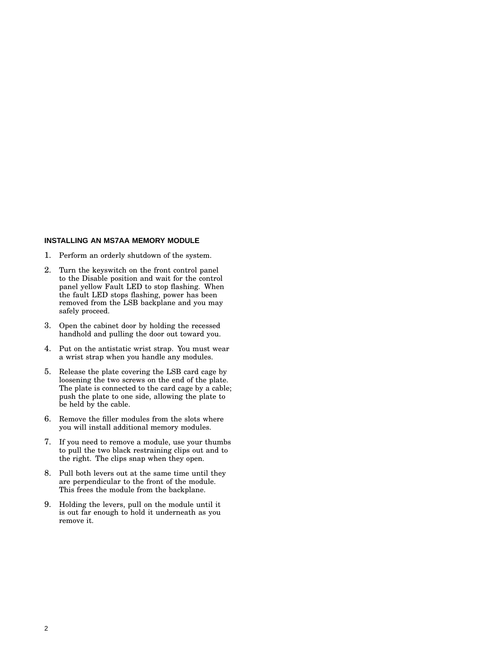#### **INSTALLING AN MS7AA MEMORY MODULE**

- 1. Perform an orderly shutdown of the system.
- 2. Turn the keyswitch on the front control panel to the Disable position and wait for the control panel yellow Fault LED to stop flashing. When the fault LED stops flashing, power has been removed from the LSB backplane and you may safely proceed.
- 3. Open the cabinet door by holding the recessed handhold and pulling the door out toward you.
- 4. Put on the antistatic wrist strap. You must wear a wrist strap when you handle any modules.
- 5. Release the plate covering the LSB card cage by loosening the two screws on the end of the plate. The plate is connected to the card cage by a cable; push the plate to one side, allowing the plate to be held by the cable.
- 6. Remove the filler modules from the slots where you will install additional memory modules.
- 7. If you need to remove a module, use your thumbs to pull the two black restraining clips out and to the right. The clips snap when they open.
- 8. Pull both levers out at the same time until they are perpendicular to the front of the module. This frees the module from the backplane.
- 9. Holding the levers, pull on the module until it is out far enough to hold it underneath as you remove it.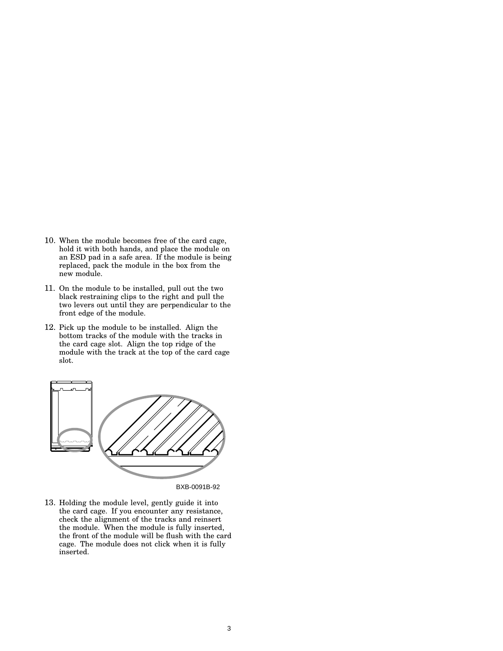- 10. When the module becomes free of the card cage, hold it with both hands, and place the module on an ESD pad in a safe area. If the module is being replaced, pack the module in the box from the new module.
- 11. On the module to be installed, pull out the two black restraining clips to the right and pull the two levers out until they are perpendicular to the front edge of the module.
- 12. Pick up the module to be installed. Align the bottom tracks of the module with the tracks in the card cage slot. Align the top ridge of the module with the track at the top of the card cage slot.



BXB-0091B-92

13. Holding the module level, gently guide it into the card cage. If you encounter any resistance, check the alignment of the tracks and reinsert the module. When the module is fully inserted, the front of the module will be flush with the card cage. The module does not click when it is fully inserted.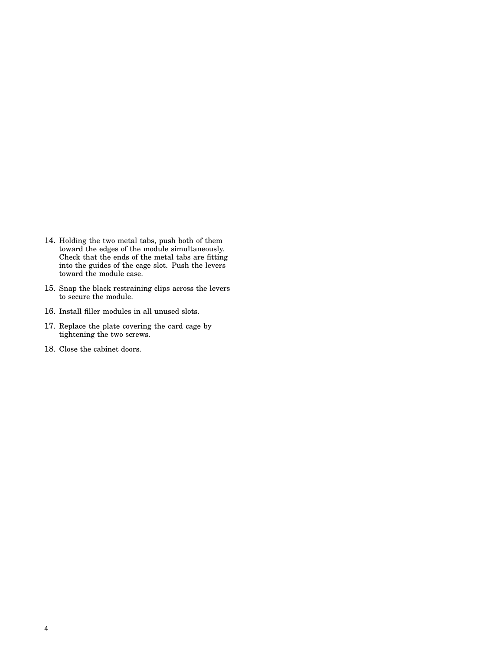- 14. Holding the two metal tabs, push both of them toward the edges of the module simultaneously. Check that the ends of the metal tabs are fitting into the guides of the cage slot. Push the levers toward the module case.
- 15. Snap the black restraining clips across the levers to secure the module.
- 16. Install filler modules in all unused slots.
- 17. Replace the plate covering the card cage by tightening the two screws.
- 18. Close the cabinet doors.